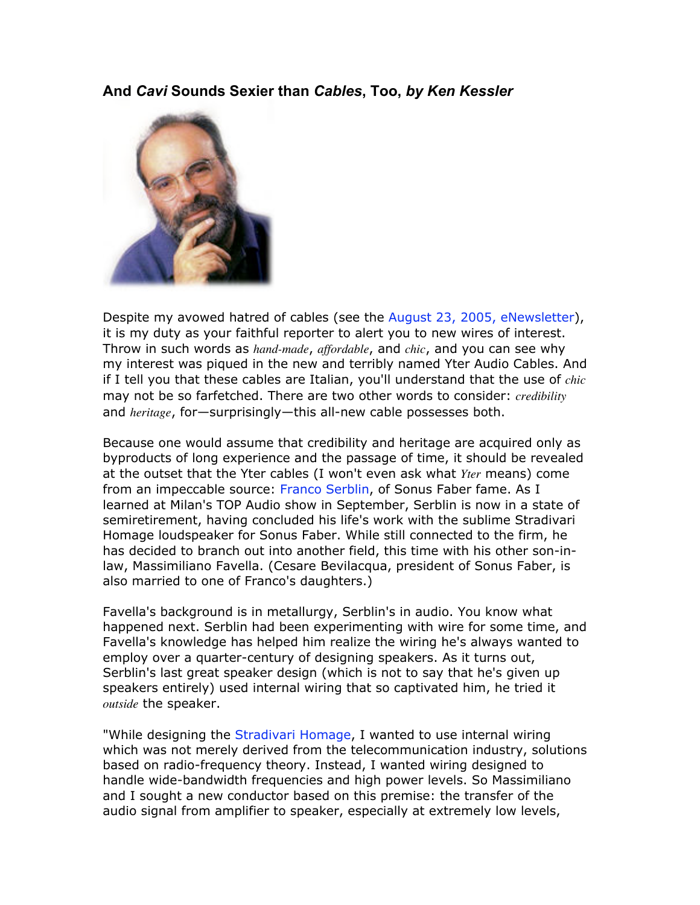## **And** *Cavi* **Sounds Sexier than** *Cables***, Too,** *by Ken Kessler*



Despite my avowed hatred of cables (see the August 23, 2005, eNewsletter), it is my duty as your faithful reporter to alert you to new wires of interest. Throw in such words as *hand-made*, *affordable*, and *chic*, and you can see why my interest was piqued in the new and terribly named Yter Audio Cables. And if I tell you that these cables are Italian, you'll understand that the use of *chic* may not be so farfetched. There are two other words to consider: *credibility* and *heritage*, for—surprisingly—this all-new cable possesses both.

Because one would assume that credibility and heritage are acquired only as byproducts of long experience and the passage of time, it should be revealed at the outset that the Yter cables (I won't even ask what *Yter* means) come from an impeccable source: Franco Serblin, of Sonus Faber fame. As I learned at Milan's TOP Audio show in September, Serblin is now in a state of semiretirement, having concluded his life's work with the sublime Stradivari Homage loudspeaker for Sonus Faber. While still connected to the firm, he has decided to branch out into another field, this time with his other son-inlaw, Massimiliano Favella. (Cesare Bevilacqua, president of Sonus Faber, is also married to one of Franco's daughters.)

Favella's background is in metallurgy, Serblin's in audio. You know what happened next. Serblin had been experimenting with wire for some time, and Favella's knowledge has helped him realize the wiring he's always wanted to employ over a quarter-century of designing speakers. As it turns out, Serblin's last great speaker design (which is not to say that he's given up speakers entirely) used internal wiring that so captivated him, he tried it *outside* the speaker.

"While designing the Stradivari Homage, I wanted to use internal wiring which was not merely derived from the telecommunication industry, solutions based on radio-frequency theory. Instead, I wanted wiring designed to handle wide-bandwidth frequencies and high power levels. So Massimiliano and I sought a new conductor based on this premise: the transfer of the audio signal from amplifier to speaker, especially at extremely low levels,